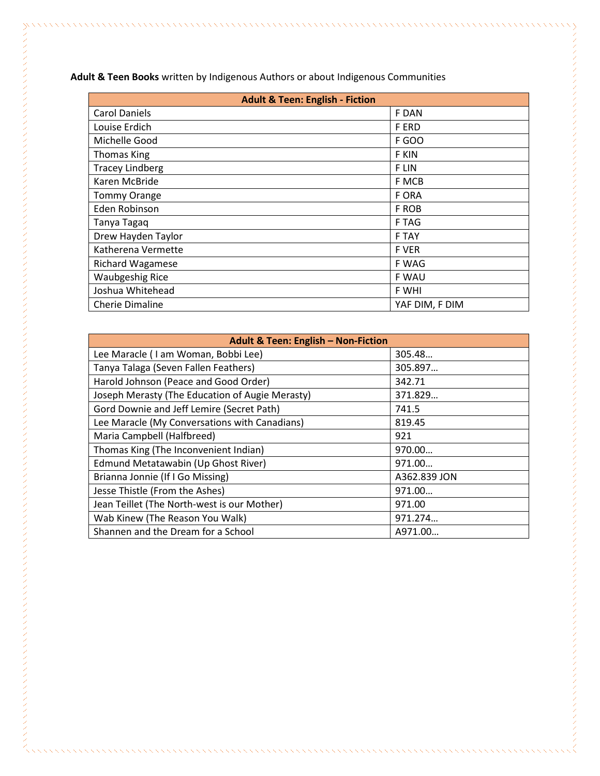| <b>Adult &amp; Teen: English - Fiction</b> |                |
|--------------------------------------------|----------------|
| <b>Carol Daniels</b>                       | F DAN          |
| Louise Erdich                              | <b>FERD</b>    |
| Michelle Good                              | <b>F GOO</b>   |
| <b>Thomas King</b>                         | F KIN          |
| <b>Tracey Lindberg</b>                     | <b>FLIN</b>    |
| Karen McBride                              | F MCB          |
| <b>Tommy Orange</b>                        | F ORA          |
| Eden Robinson                              | F ROB          |
| Tanya Tagaq                                | F TAG          |
| Drew Hayden Taylor                         | <b>F TAY</b>   |
| Katherena Vermette                         | <b>F VER</b>   |
| <b>Richard Wagamese</b>                    | F WAG          |
| <b>Waubgeshig Rice</b>                     | F WAU          |
| Joshua Whitehead                           | F WHI          |
| <b>Cherie Dimaline</b>                     | YAF DIM, F DIM |

**Adult & Teen: English – Non-Fiction** Lee Maracle (I am Woman, Bobbi Lee) 305.48... Tanya Talaga (Seven Fallen Feathers) 305.897… Harold Johnson (Peace and Good Order) 342.71 Joseph Merasty (The Education of Augie Merasty) 371.829… Gord Downie and Jeff Lemire (Secret Path) 741.5 Lee Maracle (My Conversations with Canadians) 819.45 Maria Campbell (Halfbreed) 821 Thomas King (The Inconvenient Indian) 970.00... Edmund Metatawabin (Up Ghost River) 971.00... Brianna Jonnie (If I Go Missing) A362.839 JON Jesse Thistle (From the Ashes) 971.00… Jean Teillet (The North-west is our Mother) 1971.00 Wab Kinew (The Reason You Walk) 971.274... Shannen and the Dream for a School A971.00...

**Adult & Teen Books** written by Indigenous Authors or about Indigenous Communities